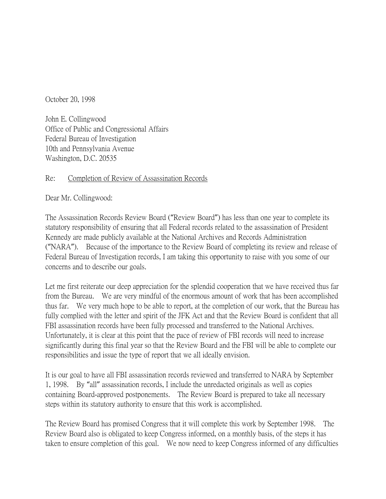October 20, 1998

John E. Collingwood Office of Public and Congressional Affairs Federal Bureau of Investigation 10th and Pennsylvania Avenue Washington, D.C. 20535

## Re: Completion of Review of Assassination Records

Dear Mr. Collingwood:

The Assassination Records Review Board ("Review Board") has less than one year to complete its statutory responsibility of ensuring that all Federal records related to the assassination of President Kennedy are made publicly available at the National Archives and Records Administration ("NARA"). Because of the importance to the Review Board of completing its review and release of Federal Bureau of Investigation records, I am taking this opportunity to raise with you some of our concerns and to describe our goals.

Let me first reiterate our deep appreciation for the splendid cooperation that we have received thus far from the Bureau. We are very mindful of the enormous amount of work that has been accomplished thus far. We very much hope to be able to report, at the completion of our work, that the Bureau has fully complied with the letter and spirit of the JFK Act and that the Review Board is confident that all FBI assassination records have been fully processed and transferred to the National Archives. Unfortunately, it is clear at this point that the pace of review of FBI records will need to increase significantly during this final year so that the Review Board and the FBI will be able to complete our responsibilities and issue the type of report that we all ideally envision.

It is our goal to have all FBI assassination records reviewed and transferred to NARA by September 1, 1998. By "all" assassination records, I include the unredacted originals as well as copies containing Board-approved postponements. The Review Board is prepared to take all necessary steps within its statutory authority to ensure that this work is accomplished.

The Review Board has promised Congress that it will complete this work by September 1998. The Review Board also is obligated to keep Congress informed, on a monthly basis, of the steps it has taken to ensure completion of this goal. We now need to keep Congress informed of any difficulties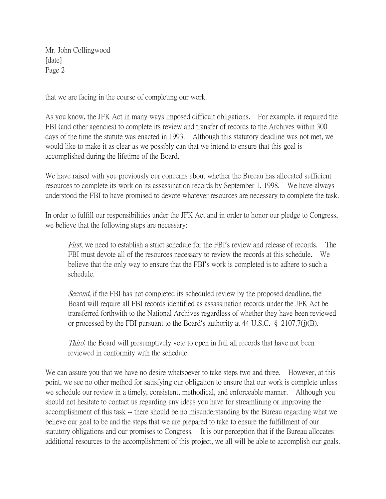Mr. John Collingwood [date] Page 2

that we are facing in the course of completing our work.

As you know, the JFK Act in many ways imposed difficult obligations. For example, it required the FBI (and other agencies) to complete its review and transfer of records to the Archives within 300 days of the time the statute was enacted in 1993. Although this statutory deadline was not met, we would like to make it as clear as we possibly can that we intend to ensure that this goal is accomplished during the lifetime of the Board.

We have raised with you previously our concerns about whether the Bureau has allocated sufficient resources to complete its work on its assassination records by September 1, 1998. We have always understood the FBI to have promised to devote whatever resources are necessary to complete the task.

In order to fulfill our responsibilities under the JFK Act and in order to honor our pledge to Congress, we believe that the following steps are necessary:

First, we need to establish a strict schedule for the FBI's review and release of records. The FBI must devote all of the resources necessary to review the records at this schedule. We believe that the only way to ensure that the FBI's work is completed is to adhere to such a schedule.

Second, if the FBI has not completed its scheduled review by the proposed deadline, the Board will require all FBI records identified as assassination records under the JFK Act be transferred forthwith to the National Archives regardless of whether they have been reviewed or processed by the FBI pursuant to the Board's authority at 44 U.S.C.  $\S$  2107.7(j)(B).

Third, the Board will presumptively vote to open in full all records that have not been reviewed in conformity with the schedule.

We can assure you that we have no desire whatsoever to take steps two and three. However, at this point, we see no other method for satisfying our obligation to ensure that our work is complete unless we schedule our review in a timely, consistent, methodical, and enforceable manner. Although you should not hesitate to contact us regarding any ideas you have for streamlining or improving the accomplishment of this task -- there should be no misunderstanding by the Bureau regarding what we believe our goal to be and the steps that we are prepared to take to ensure the fulfillment of our statutory obligations and our promises to Congress. It is our perception that if the Bureau allocates additional resources to the accomplishment of this project, we all will be able to accomplish our goals.